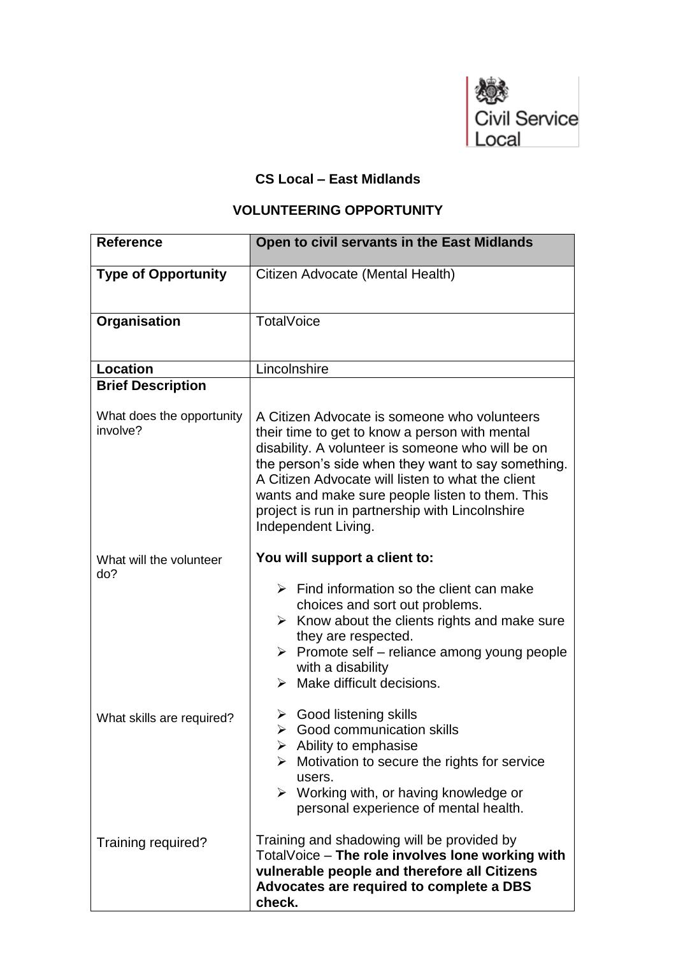

## **CS Local – East Midlands**

## **VOLUNTEERING OPPORTUNITY**

| <b>Reference</b>                      | Open to civil servants in the East Midlands                                                                                                                                                                                                                                                                                                                                                 |
|---------------------------------------|---------------------------------------------------------------------------------------------------------------------------------------------------------------------------------------------------------------------------------------------------------------------------------------------------------------------------------------------------------------------------------------------|
| <b>Type of Opportunity</b>            | Citizen Advocate (Mental Health)                                                                                                                                                                                                                                                                                                                                                            |
| Organisation                          | <b>TotalVoice</b>                                                                                                                                                                                                                                                                                                                                                                           |
| <b>Location</b>                       | Lincolnshire                                                                                                                                                                                                                                                                                                                                                                                |
| <b>Brief Description</b>              |                                                                                                                                                                                                                                                                                                                                                                                             |
| What does the opportunity<br>involve? | A Citizen Advocate is someone who volunteers<br>their time to get to know a person with mental<br>disability. A volunteer is someone who will be on<br>the person's side when they want to say something.<br>A Citizen Advocate will listen to what the client<br>wants and make sure people listen to them. This<br>project is run in partnership with Lincolnshire<br>Independent Living. |
| What will the volunteer<br>do?        | You will support a client to:                                                                                                                                                                                                                                                                                                                                                               |
|                                       | $\triangleright$ Find information so the client can make<br>choices and sort out problems.<br>$\triangleright$ Know about the clients rights and make sure<br>they are respected.<br>$\triangleright$ Promote self – reliance among young people<br>with a disability<br>$\triangleright$ Make difficult decisions.                                                                         |
| What skills are required?             | $\triangleright$ Good listening skills<br>$\triangleright$ Good communication skills<br>$\triangleright$ Ability to emphasise<br>Motivation to secure the rights for service<br>users.<br>$\triangleright$ Working with, or having knowledge or<br>personal experience of mental health.                                                                                                    |
| Training required?                    | Training and shadowing will be provided by<br>TotalVoice - The role involves lone working with<br>vulnerable people and therefore all Citizens<br>Advocates are required to complete a DBS<br>check.                                                                                                                                                                                        |